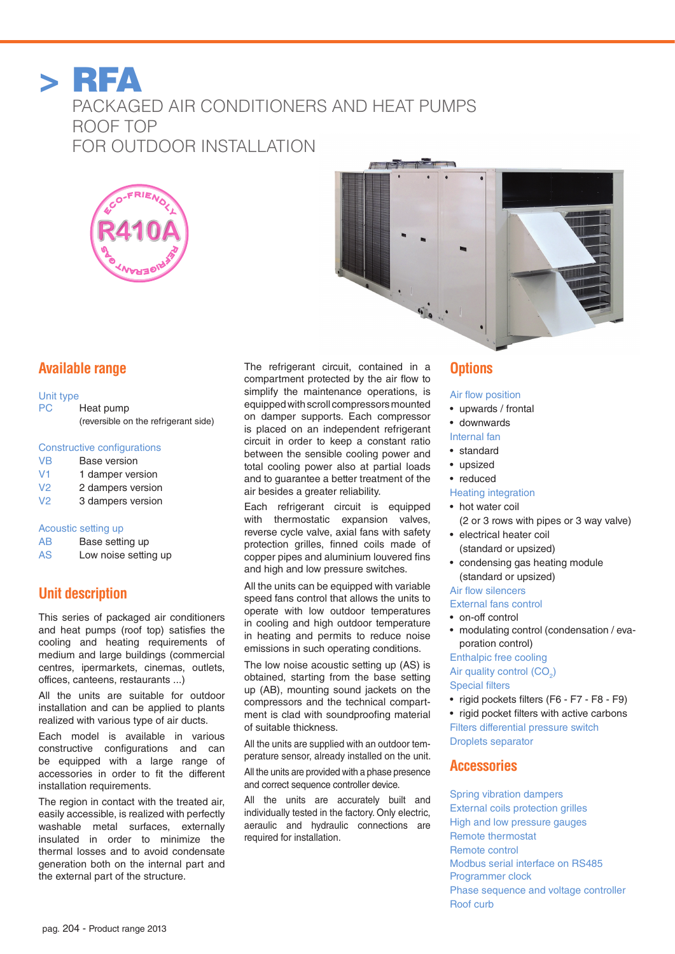# > RFA PACKAGED AIR CONDITIONERS AND HEAT PUMPS ROOF TOP FOR OUTDOOR INSTALLATION





# **Available range**

#### Unit type

PC Heat pump (reversible on the refrigerant side)

#### Constructive configurations

- VB Base version
- V<sub>1</sub> 1 damper version
- V<sub>2</sub> 2 dampers version
- V<sub>2</sub> 3 dampers version

### Acoustic setting up

| AB | Base setting up |
|----|-----------------|
|    |                 |

AS Low noise setting up

# **Unit description**

This series of packaged air conditioners and heat pumps (roof top) satisfies the cooling and heating requirements of medium and large buildings (commercial centres, ipermarkets, cinemas, outlets, offices, canteens, restaurants ...)

All the units are suitable for outdoor installation and can be applied to plants realized with various type of air ducts.

Each model is available in various constructive configurations and can be equipped with a large range of accessories in order to fit the different installation requirements.

The region in contact with the treated air, easily accessible, is realized with perfectly washable metal surfaces, externally insulated in order to minimize the thermal losses and to avoid condensate generation both on the internal part and the external part of the structure.

The refrigerant circuit, contained in a compartment protected by the air flow to simplify the maintenance operations, is equipped with scroll compressors mounted on damper supports. Each compressor is placed on an independent refrigerant circuit in order to keep a constant ratio between the sensible cooling power and total cooling power also at partial loads and to guarantee a better treatment of the air besides a greater reliability.

Each refrigerant circuit is equipped with thermostatic expansion valves, reverse cycle valve, axial fans with safety protection grilles, finned coils made of copper pipes and aluminium louvered fins and high and low pressure switches.

All the units can be equipped with variable speed fans control that allows the units to operate with low outdoor temperatures in cooling and high outdoor temperature in heating and permits to reduce noise emissions in such operating conditions.

The low noise acoustic setting up (AS) is obtained, starting from the base setting up (AB), mounting sound jackets on the compressors and the technical compartment is clad with soundproofing material of suitable thickness.

All the units are supplied with an outdoor temperature sensor, already installed on the unit. All the units are provided with a phase presence and correct sequence controller device.

All the units are accurately built and individually tested in the factory. Only electric, aeraulic and hydraulic connections are required for installation.

# **Options**

### Air flow position

- upwards / frontal
- downwards

### Internal fan

- standard
- upsized
- reduced
- Heating integration
- hot water coil
- (2 or 3 rows with pipes or 3 way valve) • electrical heater coil
- (standard or upsized)
- condensing gas heating module (standard or upsized)

#### Air flow silencers

### External fans control

- on-off control
- modulating control (condensation / evaporation control)

### Enthalpic free cooling

# Air quality control  $(CO<sub>2</sub>)$

# Special filters

- rigid pockets filters (F6 F7 F8 F9)
- rigid pocket filters with active carbons Filters differential pressure switch Droplets separator

# **Accessories**

Spring vibration dampers External coils protection grilles High and low pressure gauges Remote thermostat Remote control Modbus serial interface on RS485 Programmer clock Phase sequence and voltage controller Roof curb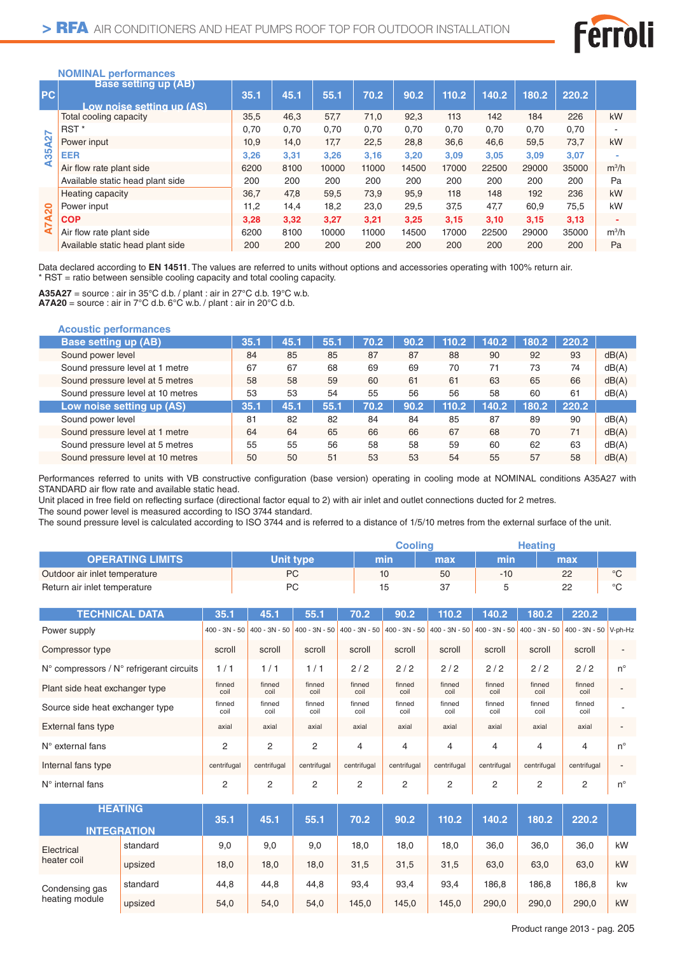

### **NOMINAL performances**

| <b>PC</b>  | <b>Base setting up (AB)</b><br>Low noise setting up (AS) | 35.1 | 45.1 | 55.1  | 70.2  | 90.2  | 110.2 | 140.2 | 180.2 | 220.2 |                          |
|------------|----------------------------------------------------------|------|------|-------|-------|-------|-------|-------|-------|-------|--------------------------|
|            | Total cooling capacity                                   | 35,5 | 46.3 | 57,7  | 71,0  | 92.3  | 113   | 142   | 184   | 226   | kW                       |
|            | RST <sup>*</sup>                                         | 0,70 | 0.70 | 0,70  | 0,70  | 0,70  | 0,70  | 0.70  | 0,70  | 0,70  | ۰                        |
| <b>A27</b> | Power input                                              | 10,9 | 14,0 | 17,7  | 22,5  | 28,8  | 36,6  | 46,6  | 59,5  | 73,7  | kW                       |
| A35        | <b>EER</b>                                               | 3,26 | 3,31 | 3,26  | 3,16  | 3,20  | 3,09  | 3,05  | 3,09  | 3,07  | $\overline{\phantom{a}}$ |
|            | Air flow rate plant side                                 | 6200 | 8100 | 10000 | 11000 | 14500 | 17000 | 22500 | 29000 | 35000 | $m^3/h$                  |
|            | Available static head plant side                         | 200  | 200  | 200   | 200   | 200   | 200   | 200   | 200   | 200   | Pa                       |
|            | Heating capacity                                         | 36,7 | 47,8 | 59,5  | 73,9  | 95.9  | 118   | 148   | 192   | 236   | kW                       |
| <b>A20</b> | Power input                                              | 11,2 | 14,4 | 18,2  | 23,0  | 29,5  | 37,5  | 47,7  | 60,9  | 75,5  | kW                       |
| N          | <b>COP</b>                                               | 3,28 | 3,32 | 3,27  | 3,21  | 3,25  | 3,15  | 3,10  | 3,15  | 3,13  |                          |
|            | Air flow rate plant side                                 | 6200 | 8100 | 10000 | 11000 | 14500 | 17000 | 22500 | 29000 | 35000 | $m^3/h$                  |
|            | Available static head plant side                         | 200  | 200  | 200   | 200   | 200   | 200   | 200   | 200   | 200   | Pa                       |

Data declared according to **EN 14511**. The values are referred to units without options and accessories operating with 100% return air. \* RST = ratio between sensible cooling capacity and total cooling capacity.

 $A35A27$  = source : air in 35°C d.b. / plant : air in 27°C d.b. 19°C w.b.  $\overline{A7A20}$  = source : air in 7°C d.b.  $6^{\circ}$ C w.b. / plant : air in 20°C d.b.

| <b>Acoustic performances</b>      |      |      |      |      |      |       |       |       |       |       |
|-----------------------------------|------|------|------|------|------|-------|-------|-------|-------|-------|
| <b>Base setting up (AB)</b>       | 35.1 | 45.1 | 55.1 | 70.2 | 90.2 | 110.2 | 140.2 | 180.2 | 220.2 |       |
| Sound power level                 | 84   | 85   | 85   | 87   | 87   | 88    | 90    | 92    | 93    | dB(A) |
| Sound pressure level at 1 metre   | 67   | 67   | 68   | 69   | 69   | 70    | 71    | 73    | 74    | dB(A) |
| Sound pressure level at 5 metres  | 58   | 58   | 59   | 60   | 61   | 61    | 63    | 65    | 66    | dB(A) |
| Sound pressure level at 10 metres | 53   | 53   | 54   | 55   | 56   | 56    | 58    | 60    | 61    | dB(A) |
| Low noise setting up (AS),        | 35.1 | 45.1 | 55.1 | 70.2 | 90.2 | 110.2 | 140.2 | 180.2 | 220.2 |       |
| Sound power level                 | 81   | 82   | 82   | 84   | 84   | 85    | 87    | 89    | 90    | dB(A) |
| Sound pressure level at 1 metre   | 64   | 64   | 65   | 66   | 66   | 67    | 68    | 70    | 71    | dB(A) |
| Sound pressure level at 5 metres  | 55   | 55   | 56   | 58   | 58   | 59    | 60    | 62    | 63    | dB(A) |
| Sound pressure level at 10 metres | 50   | 50   | 51   | 53   | 53   | 54    | 55    | 57    | 58    | dB(A) |

Performances referred to units with VB constructive configuration (base version) operating in cooling mode at NOMINAL conditions A35A27 with STANDARD air flow rate and available static head.

Unit placed in free field on reflecting surface (directional factor equal to 2) with air inlet and outlet connections ducted for 2 metres.

The sound power level is measured according to ISO 3744 standard. The sound pressure level is calculated according to ISO 3744 and is referred to a distance of 1/5/10 metres from the external surface of the unit.

|                         |            |      | <b>Cooling</b> | Heatino |     |  |
|-------------------------|------------|------|----------------|---------|-----|--|
| <b>OPERATING LIMITS</b> | Unit tvpeˈ | min' | max            | min     | max |  |

| <b>OPERATING LIMITS</b>       | <b>Unit type</b> | min | max      |     | max       |  |
|-------------------------------|------------------|-----|----------|-----|-----------|--|
| Outdoor air inlet temperature | DC               |     | 51<br>JU | -10 | <u>__</u> |  |
| Return air inlet temperature  | nr               |     |          |     | __        |  |

| <b>TECHNICAL DATA</b>                                      | 35.1            | 45.1            | 55.1            | 70.2            | 90.2           | 110.2                           | 140.2          | 180.2          | 220.2                                             |             |
|------------------------------------------------------------|-----------------|-----------------|-----------------|-----------------|----------------|---------------------------------|----------------|----------------|---------------------------------------------------|-------------|
| Power supply                                               | $400 - 3N - 50$ | $400 - 3N - 50$ | $400 - 3N - 50$ | $400 - 3N - 50$ |                | $400 - 3N - 50$ 400 - $3N - 50$ |                |                | 400 - 3N - 50 400 - 3N - 50 400 - 3N - 50 V-ph-Hz |             |
| Compressor type                                            | scroll          | scroll          | scroll          | scroll          | scroll         | scroll                          | scroll         | scroll         | scroll                                            |             |
| $N^{\circ}$ compressors / $N^{\circ}$ refrigerant circuits | 1/1             | 1/1             | 1/1             | 2/2             | 2/2            | 2/2                             | 2/2            | 2/2            | 2/2                                               | $n^{\circ}$ |
| Plant side heat exchanger type                             | finned<br>coil  | finned<br>coil  | finned<br>coil  | finned<br>coil  | finned<br>coil | finned<br>coil                  | finned<br>coil | finned<br>coil | finned<br>coil                                    |             |
| Source side heat exchanger type                            | finned<br>coil  | finned<br>coil  | finned<br>coil  | finned<br>coil  | finned<br>coil | finned<br>coil                  | finned<br>coil | finned<br>coil | finned<br>coil                                    |             |
| External fans type                                         | axial           | axial           | axial           | axial           | axial          | axial                           | axial          | axial          | axial                                             |             |
| $N^{\circ}$ external fans                                  | $\overline{2}$  | 2               | $\overline{2}$  | 4               | 4              | 4                               | 4              | 4              | 4                                                 | $n^{\circ}$ |
| Internal fans type                                         | centrifugal     | centrifugal     | centrifugal     | centrifugal     | centrifugal    | centrifugal                     | centrifugal    | centrifugal    | centrifugal                                       |             |
| $N^{\circ}$ internal fans                                  | 2               | 2               | $\overline{c}$  | 2               | $\overline{2}$ | 2                               | 2              | 2              | 2                                                 | $n^{\circ}$ |

| <b>HEATING</b>                   |                    | 35.1 | 45.1 | 55.1 | 70.2  | 90.2  | 110.2 | 140.2 | 180.2 | 220.2 |    |
|----------------------------------|--------------------|------|------|------|-------|-------|-------|-------|-------|-------|----|
|                                  | <b>INTEGRATION</b> |      |      |      |       |       |       |       |       |       |    |
| Electrical                       | standard           | 9,0  | 9.0  | 9,0  | 18,0  | 18,0  | 18,0  | 36,0  | 36,0  | 36.0  | kW |
| heater coil                      | upsized            | 18,0 | 18.0 | 18.0 | 31.5  | 31,5  | 31,5  | 63,0  | 63,0  | 63.0  | kW |
| Condensing gas<br>heating module | standard           | 44,8 | 44.8 | 44.8 | 93,4  | 93,4  | 93,4  | 186,8 | 186,8 | 186,8 | kw |
|                                  | upsized            | 54,0 | 54,0 | 54,0 | 145.0 | 145,0 | 145,0 | 290,0 | 290,0 | 290,0 | kW |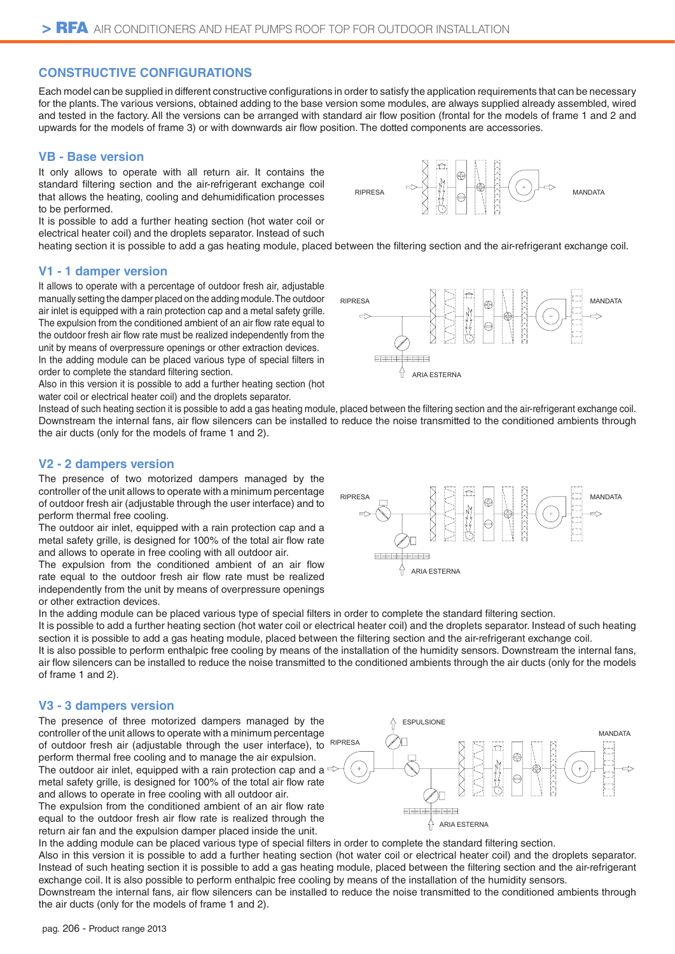### **CONSTRUCTIVE CONFIGURATIONS**

Each model can be supplied in different constructive configurations in order to satisfy the application requirements that can be necessary for the plants. The various versions, obtained adding to the base version some modules, are always supplied already assembled, wired and tested in the factory. All the versions can be arranged with standard air flow position (frontal for the models of frame 1 and 2 and upwards for the models of frame 3) or with downwards air flow position. The dotted components are accessories.

### **VB - Base version**

It only allows to operate with all return air. It contains the standard filtering section and the air-refrigerant exchange coil that allows the heating, cooling and dehumidification processes to be performed.

It is possible to add a further heating section (hot water coil or electrical heater coil) and the droplets separator. Instead of such

heating section it is possible to add a gas heating module, placed between the filtering section and the air-refrigerant exchange coil.

### **V1 - 1 damper version**

It allows to operate with a percentage of outdoor fresh air, adjustable manually setting the damper placed on the adding module. The outdoor air inlet is equipped with a rain protection cap and a metal safety grille. The expulsion from the conditioned ambient of an air flow rate equal to the outdoor fresh air flow rate must be realized independently from the unit by means of overpressure openings or other extraction devices. In the adding module can be placed various type of special filters in order to complete the standard filtering section.

Also in this version it is possible to add a further heating section (hot water coil or electrical heater coil) and the droplets separator.





Instead of such heating section it is possible to add a gas heating module, placed between the filtering section and the air-refrigerant exchange coil. Downstream the internal fans, air flow silencers can be installed to reduce the noise transmitted to the conditioned ambients through the air ducts (only for the models of frame 1 and 2).

### **V2 - 2 dampers version**

The presence of two motorized dampers managed by the controller of the unit allows to operate with a minimum percentage of outdoor fresh air (adjustable through the user interface) and to perform thermal free cooling.

The outdoor air inlet, equipped with a rain protection cap and a metal safety grille, is designed for 100% of the total air flow rate and allows to operate in free cooling with all outdoor air.

The expulsion from the conditioned ambient of an air flow rate equal to the outdoor fresh air flow rate must be realized independently from the unit by means of overpressure openings or other extraction devices.



In the adding module can be placed various type of special filters in order to complete the standard filtering section. It is possible to add a further heating section (hot water coil or electrical heater coil) and the droplets separator. Instead of such heating section it is possible to add a gas heating module, placed between the filtering section and the air-refrigerant exchange coil. It is also possible to perform enthalpic free cooling by means of the installation of the humidity sensors. Downstream the internal fans, air flow silencers can be installed to reduce the noise transmitted to the conditioned ambients through the air ducts (only for the models of frame 1 and 2).

#### **V3 - 3 dampers version**

The presence of three motorized dampers managed by the controller of the unit allows to operate with a minimum percentage of outdoor fresh air (adjustable through the user interface), to perform thermal free cooling and to manage the air expulsion. The outdoor air inlet, equipped with a rain protection cap and a  $\equiv$ metal safety grille, is designed for 100% of the total air flow rate and allows to operate in free cooling with all outdoor air. The expulsion from the conditioned ambient of an air flow rate equal to the outdoor fresh air flow rate is realized through the return air fan and the expulsion damper placed inside the unit.



In the adding module can be placed various type of special filters in order to complete the standard filtering section. Also in this version it is possible to add a further heating section (hot water coil or electrical heater coil) and the droplets separator. Instead of such heating section it is possible to add a gas heating module, placed between the filtering section and the air-refrigerant exchange coil. It is also possible to perform enthalpic free cooling by means of the installation of the humidity sensors. Downstream the internal fans, air flow silencers can be installed to reduce the noise transmitted to the conditioned ambients through the air ducts (only for the models of frame 1 and 2).